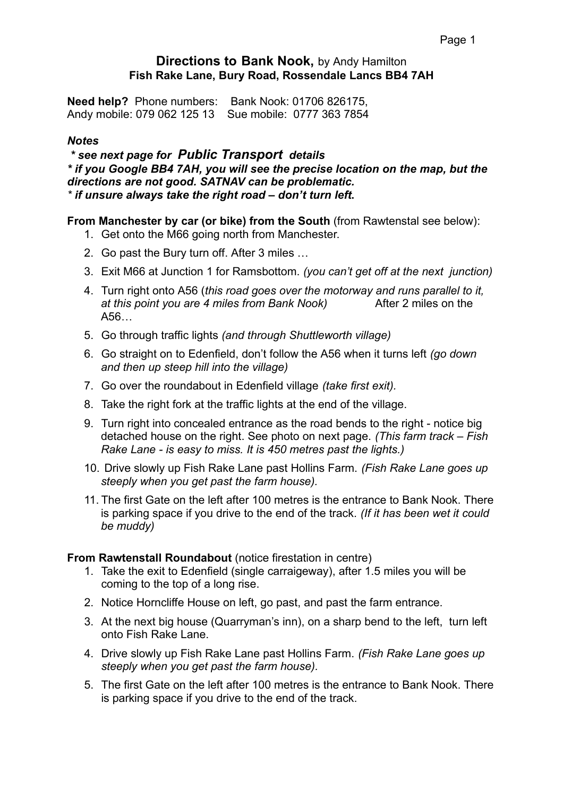# **Directions to Bank Nook,** by Andy Hamilton **Fish Rake Lane, Bury Road, Rossendale Lancs BB4 7AH**

**Need help?** Phone numbers: Bank Nook: 01706 826175, Andy mobile: 079 062 125 13 Sue mobile: 0777 363 7854

#### *Notes*

 *\* see next page for Public Transport details \* if you Google BB4 7AH, you will see the precise location on the map, but the directions are not good. SATNAV can be problematic. \* if unsure always take the right road – don't turn left***.**

## **From Manchester by car (or bike) from the South** (from Rawtenstal see below):

- 1. Get onto the M66 going north from Manchester.
- 2. Go past the Bury turn off. After 3 miles …
- 3. Exit M66 at Junction 1 for Ramsbottom. *(you can't get off at the next junction)*
- 4. Turn right onto A56 (*this road goes over the motorway and runs parallel to it, at this point you are 4 miles from Bank Nook)* After 2 miles on the A56…
- 5. Go through traffic lights *(and through Shuttleworth village)*
- 6. Go straight on to Edenfield, don't follow the A56 when it turns left *(go down and then up steep hill into the village)*
- 7. Go over the roundabout in Edenfield village *(take first exit).*
- 8. Take the right fork at the traffic lights at the end of the village.
- 9. Turn right into concealed entrance as the road bends to the right notice big detached house on the right. See photo on next page. *(This farm track – Fish Rake Lane - is easy to miss. It is 450 metres past the lights.)*
- 10. Drive slowly up Fish Rake Lane past Hollins Farm. *(Fish Rake Lane goes up steeply when you get past the farm house).*
- 11. The first Gate on the left after 100 metres is the entrance to Bank Nook. There is parking space if you drive to the end of the track*. (If it has been wet it could be muddy)*

#### **From Rawtenstall Roundabout** (notice firestation in centre)

- 1. Take the exit to Edenfield (single carraigeway), after 1.5 miles you will be coming to the top of a long rise.
- 2. Notice Horncliffe House on left, go past, and past the farm entrance.
- 3. At the next big house (Quarryman's inn), on a sharp bend to the left, turn left onto Fish Rake Lane.
- 4. Drive slowly up Fish Rake Lane past Hollins Farm. *(Fish Rake Lane goes up steeply when you get past the farm house).*
- 5. The first Gate on the left after 100 metres is the entrance to Bank Nook. There is parking space if you drive to the end of the track.